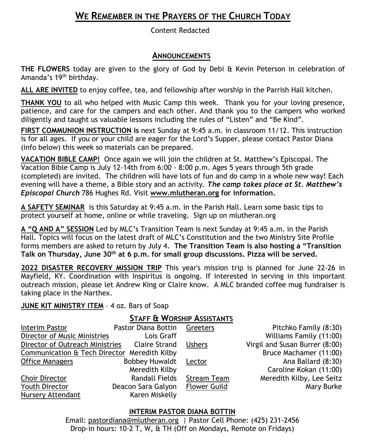# **WE REMEMBER IN THE PRAYERS OF THE CHURCH TODAY**

Content Redacted

### **ANNOUNCEMENTS**

**THE FLOWERS** today are given to the glory of God by Debi & Kevin Peterson in celebration of Amanda's 19th birthday.

**ALL ARE INVITED** to enjoy coffee, tea, and fellowship after worship in the Parrish Hall kitchen.

**THANK YOU** to all who helped with Music Camp this week. Thank you for your loving presence, patience, and care for the campers and each other. And thank you to the campers who worked diligently and taught us valuable lessons including the rules of "Listen" and "Be Kind".

**FIRST COMMUNION INSTRUCTION is** next Sunday at 9:45 a.m. in classroom 11/12. This instruction is for all ages. If you or your child are eager for the Lord's Supper, please contact Pastor Diana (info below) this week so materials can be prepared.

**VACATION BIBLE CAMP!** Once again we will join the children at St. Matthew's Episcopal. The Vacation Bible Camp is July 12-14th from 6:00 - 8:00 p.m. Ages 5 years through 5th grade (completed) are invited. The children will have lots of fun and do camp in a whole new way! Each evening will have a theme, a Bible story and an activity. *The camp takes place at St. Matthew's Episcopal Church* 786 Hughes Rd. Visit **[www.mlutheran.org](http://www.mlutheran.org/) for information.**

**A SAFETY SEMINAR** is this Saturday at 9:45 a.m. in the Parish Hall. Learn some basic tips to protect yourself at home, online or while traveling. Sign up on mlutheran.org

**A "Q AND A" SESSION** Led by MLC's Transition Team is next Sunday at 9:45 a.m. in the Parish Hall. Topics will focus on the latest draft of MLC's Constitution and the two Ministry Site Profile forms members are asked to return by July 4. **The Transition Team is also hosting a "Transition Talk on Thursday, June 30th at 6 p.m. for small group discussions. Pizza will be served.** 

**2022 DISASTER RECOVERY MISSION TRIP** This year's mission trip is planned for June 22-26 in Mayfield, KY. Coordination with Inspiritus is ongoing. If interested in serving in this important outreach mission, please let Andrew King or Claire know. A MLC branded coffee mug fundraiser is taking place in the Narthex.

### **JUNE KIT MINISTRY ITEM** – 4 oz. Bars of Soap

### **STAFF & WORSHIP ASSISTANTS**

| Interim Pastor                               | Pastor Diana Bottin   | Greeters            | Pitchko Family (8:30)          |
|----------------------------------------------|-----------------------|---------------------|--------------------------------|
| Director of Music Ministries                 | Lois Graff            |                     | Williams Family (11:00)        |
| Director of Outreach Ministries              | Claire Strand         | <b>Ushers</b>       | Virgil and Susan Burrer (8:00) |
| Communication & Tech Director Meredith Kilby |                       |                     | Bruce Machamer (11:00)         |
| <b>Office Managers</b>                       | <b>Bobbey Huwaldt</b> | Lector              | Ana Ballard (8:30)             |
|                                              | Meredith Kilby        |                     | Caroline Kokan (11:00)         |
| Choir Director                               | <b>Randall Fields</b> | <b>Stream Team</b>  | Meredith Kilby, Lee Seitz      |
| Youth Director                               | Deacon Sara Galyon    | <b>Flower Guild</b> | Mary Burke                     |
| Nursery Attendant                            | Karen Miskelly        |                     |                                |

### **INTERIM PASTOR DIANA BOTTIN**

Email: [pastordiana@mlutheran.org](mailto:pastordiana@mlutheran.org) | Pastor Cell Phone: (425) 231-2456 Drop-in hours: 10-2 T, W, & TH (Off on Mondays, Remote on Fridays)